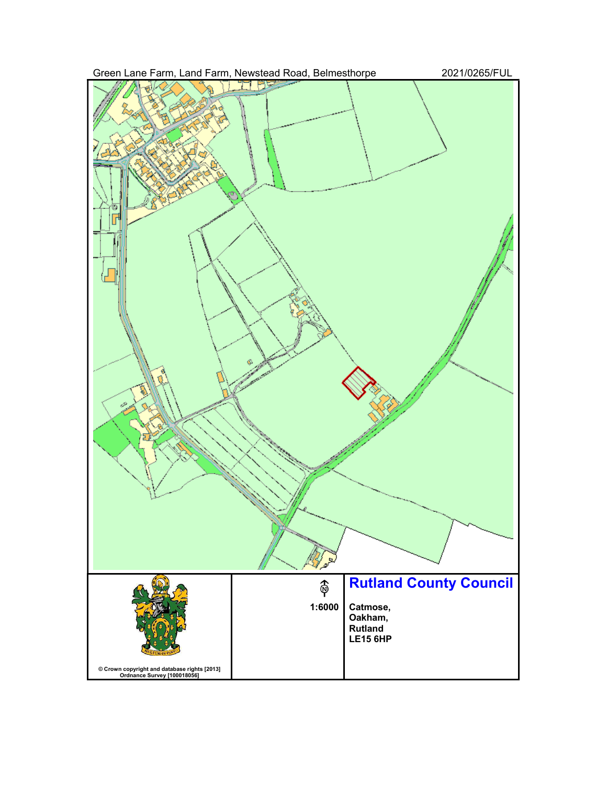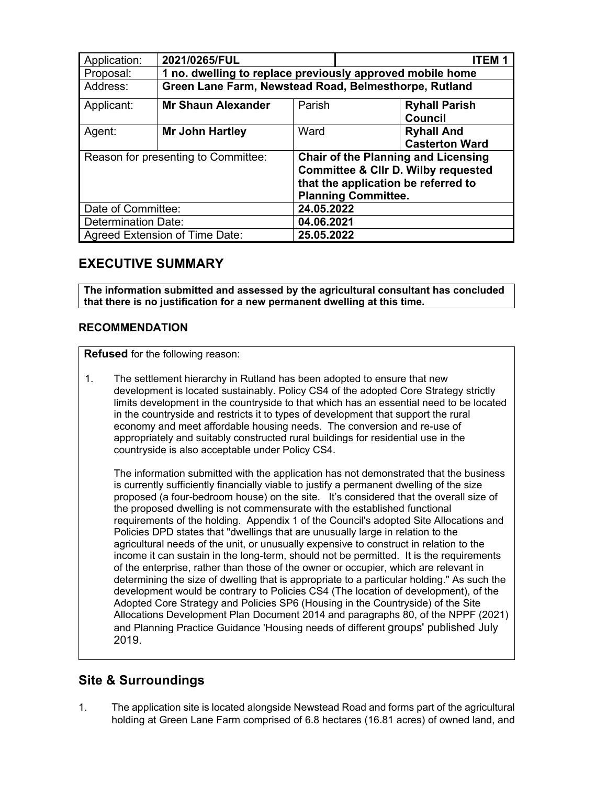| Application:                        | 2021/0265/FUL                                             |        | ITFM.                                                                                                                                                             |  |  |
|-------------------------------------|-----------------------------------------------------------|--------|-------------------------------------------------------------------------------------------------------------------------------------------------------------------|--|--|
| Proposal:                           | 1 no. dwelling to replace previously approved mobile home |        |                                                                                                                                                                   |  |  |
| Address:                            | Green Lane Farm, Newstead Road, Belmesthorpe, Rutland     |        |                                                                                                                                                                   |  |  |
| Applicant:                          | <b>Mr Shaun Alexander</b>                                 | Parish | <b>Ryhall Parish</b><br><b>Council</b>                                                                                                                            |  |  |
| Agent:                              | Mr John Hartley                                           | Ward   | <b>Ryhall And</b><br><b>Casterton Ward</b>                                                                                                                        |  |  |
| Reason for presenting to Committee: |                                                           |        | <b>Chair of the Planning and Licensing</b><br><b>Committee &amp; Cllr D. Wilby requested</b><br>that the application be referred to<br><b>Planning Committee.</b> |  |  |
| Date of Committee:                  |                                                           |        | 24.05.2022                                                                                                                                                        |  |  |
| <b>Determination Date:</b>          |                                                           |        | 04.06.2021                                                                                                                                                        |  |  |
| Agreed Extension of Time Date:      |                                                           |        | 25.05.2022                                                                                                                                                        |  |  |

# **EXECUTIVE SUMMARY**

**The information submitted and assessed by the agricultural consultant has concluded that there is no justification for a new permanent dwelling at this time.** 

## **RECOMMENDATION**

**Refused** for the following reason:

1. The settlement hierarchy in Rutland has been adopted to ensure that new development is located sustainably. Policy CS4 of the adopted Core Strategy strictly limits development in the countryside to that which has an essential need to be located in the countryside and restricts it to types of development that support the rural economy and meet affordable housing needs. The conversion and re-use of appropriately and suitably constructed rural buildings for residential use in the countryside is also acceptable under Policy CS4.

The information submitted with the application has not demonstrated that the business is currently sufficiently financially viable to justify a permanent dwelling of the size proposed (a four-bedroom house) on the site. It's considered that the overall size of the proposed dwelling is not commensurate with the established functional requirements of the holding. Appendix 1 of the Council's adopted Site Allocations and Policies DPD states that "dwellings that are unusually large in relation to the agricultural needs of the unit, or unusually expensive to construct in relation to the income it can sustain in the long-term, should not be permitted. It is the requirements of the enterprise, rather than those of the owner or occupier, which are relevant in determining the size of dwelling that is appropriate to a particular holding." As such the development would be contrary to Policies CS4 (The location of development), of the Adopted Core Strategy and Policies SP6 (Housing in the Countryside) of the Site Allocations Development Plan Document 2014 and paragraphs 80, of the NPPF (2021) and Planning Practice Guidance 'Housing needs of different groups' published July 2019.

# **Site & Surroundings**

1. The application site is located alongside Newstead Road and forms part of the agricultural holding at Green Lane Farm comprised of 6.8 hectares (16.81 acres) of owned land, and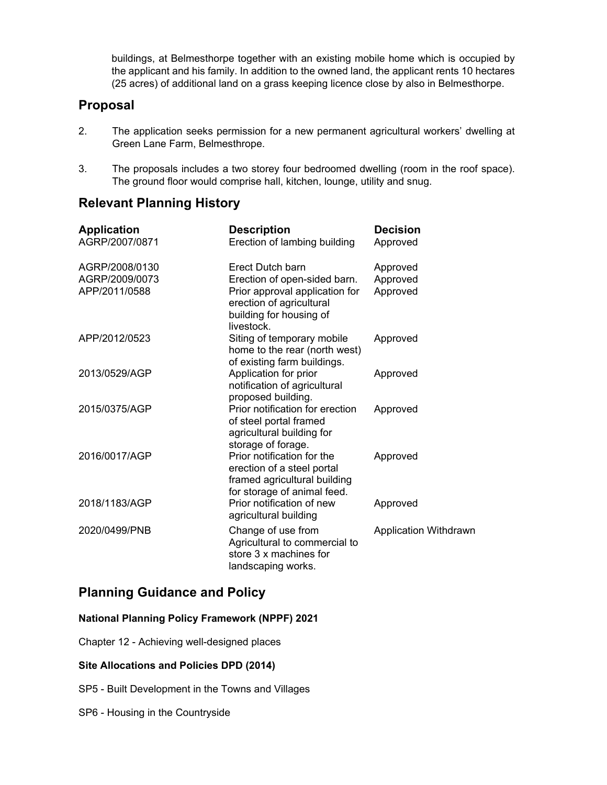buildings, at Belmesthorpe together with an existing mobile home which is occupied by the applicant and his family. In addition to the owned land, the applicant rents 10 hectares (25 acres) of additional land on a grass keeping licence close by also in Belmesthorpe.

## **Proposal**

- 2. The application seeks permission for a new permanent agricultural workers' dwelling at Green Lane Farm, Belmesthrope.
- 3. The proposals includes a two storey four bedroomed dwelling (room in the roof space). The ground floor would comprise hall, kitchen, lounge, utility and snug.

# **Relevant Planning History**

| <b>Application</b><br>AGRP/2007/0871              | <b>Description</b><br>Erection of lambing building                                                                                                     | <b>Decision</b><br>Approved      |
|---------------------------------------------------|--------------------------------------------------------------------------------------------------------------------------------------------------------|----------------------------------|
| AGRP/2008/0130<br>AGRP/2009/0073<br>APP/2011/0588 | Erect Dutch barn<br>Erection of open-sided barn.<br>Prior approval application for<br>erection of agricultural<br>building for housing of<br>livestock | Approved<br>Approved<br>Approved |
| APP/2012/0523                                     | Siting of temporary mobile<br>home to the rear (north west)<br>of existing farm buildings.                                                             | Approved                         |
| 2013/0529/AGP                                     | Application for prior<br>notification of agricultural<br>proposed building.                                                                            | Approved                         |
| 2015/0375/AGP                                     | Prior notification for erection<br>of steel portal framed<br>agricultural building for<br>storage of forage.                                           | Approved                         |
| 2016/0017/AGP                                     | Prior notification for the<br>erection of a steel portal<br>framed agricultural building<br>for storage of animal feed.                                | Approved                         |
| 2018/1183/AGP                                     | Prior notification of new<br>agricultural building                                                                                                     | Approved                         |
| 2020/0499/PNB                                     | Change of use from<br>Agricultural to commercial to<br>store 3 x machines for<br>landscaping works.                                                    | <b>Application Withdrawn</b>     |

# **Planning Guidance and Policy**

## **National Planning Policy Framework (NPPF) 2021**

Chapter 12 - Achieving well-designed places

## **Site Allocations and Policies DPD (2014)**

- SP5 Built Development in the Towns and Villages
- SP6 Housing in the Countryside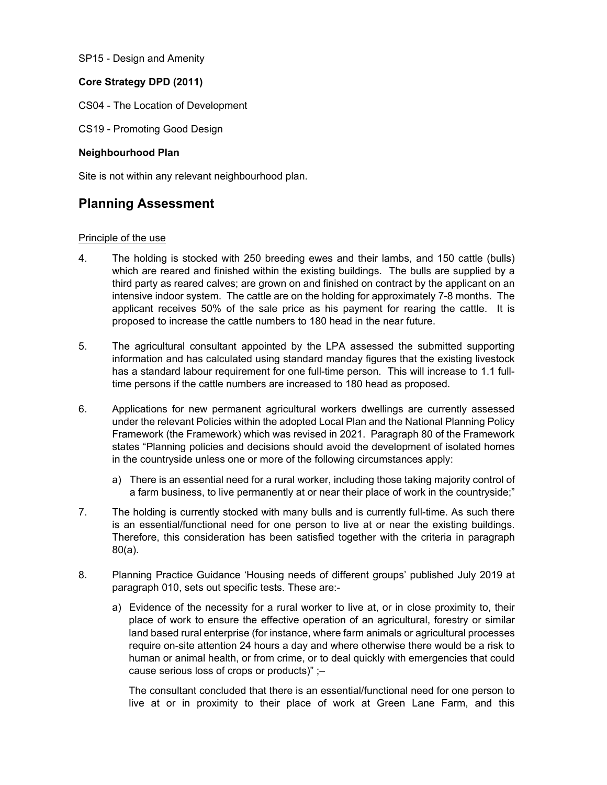SP15 - Design and Amenity

## **Core Strategy DPD (2011)**

- CS04 The Location of Development
- CS19 Promoting Good Design

### **Neighbourhood Plan**

Site is not within any relevant neighbourhood plan.

# **Planning Assessment**

### Principle of the use

- 4. The holding is stocked with 250 breeding ewes and their lambs, and 150 cattle (bulls) which are reared and finished within the existing buildings. The bulls are supplied by a third party as reared calves; are grown on and finished on contract by the applicant on an intensive indoor system. The cattle are on the holding for approximately 7-8 months. The applicant receives 50% of the sale price as his payment for rearing the cattle. It is proposed to increase the cattle numbers to 180 head in the near future.
- 5. The agricultural consultant appointed by the LPA assessed the submitted supporting information and has calculated using standard manday figures that the existing livestock has a standard labour requirement for one full-time person. This will increase to 1.1 fulltime persons if the cattle numbers are increased to 180 head as proposed.
- 6. Applications for new permanent agricultural workers dwellings are currently assessed under the relevant Policies within the adopted Local Plan and the National Planning Policy Framework (the Framework) which was revised in 2021. Paragraph 80 of the Framework states "Planning policies and decisions should avoid the development of isolated homes in the countryside unless one or more of the following circumstances apply:
	- a) There is an essential need for a rural worker, including those taking majority control of a farm business, to live permanently at or near their place of work in the countryside;"
- 7. The holding is currently stocked with many bulls and is currently full-time. As such there is an essential/functional need for one person to live at or near the existing buildings. Therefore, this consideration has been satisfied together with the criteria in paragraph 80(a).
- 8. Planning Practice Guidance 'Housing needs of different groups' published July 2019 at paragraph 010, sets out specific tests. These are:
	- a) Evidence of the necessity for a rural worker to live at, or in close proximity to, their place of work to ensure the effective operation of an agricultural, forestry or similar land based rural enterprise (for instance, where farm animals or agricultural processes require on-site attention 24 hours a day and where otherwise there would be a risk to human or animal health, or from crime, or to deal quickly with emergencies that could cause serious loss of crops or products)" ;–

The consultant concluded that there is an essential/functional need for one person to live at or in proximity to their place of work at Green Lane Farm, and this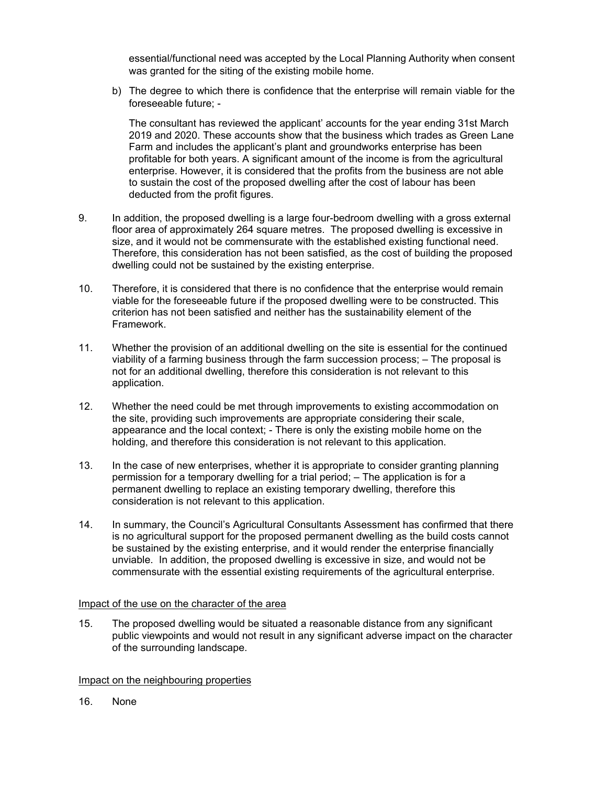essential/functional need was accepted by the Local Planning Authority when consent was granted for the siting of the existing mobile home.

b) The degree to which there is confidence that the enterprise will remain viable for the foreseeable future; -

The consultant has reviewed the applicant' accounts for the year ending 31st March 2019 and 2020. These accounts show that the business which trades as Green Lane Farm and includes the applicant's plant and groundworks enterprise has been profitable for both years. A significant amount of the income is from the agricultural enterprise. However, it is considered that the profits from the business are not able to sustain the cost of the proposed dwelling after the cost of labour has been deducted from the profit figures.

- 9. In addition, the proposed dwelling is a large four-bedroom dwelling with a gross external floor area of approximately 264 square metres. The proposed dwelling is excessive in size, and it would not be commensurate with the established existing functional need. Therefore, this consideration has not been satisfied, as the cost of building the proposed dwelling could not be sustained by the existing enterprise.
- 10. Therefore, it is considered that there is no confidence that the enterprise would remain viable for the foreseeable future if the proposed dwelling were to be constructed. This criterion has not been satisfied and neither has the sustainability element of the Framework.
- 11. Whether the provision of an additional dwelling on the site is essential for the continued viability of a farming business through the farm succession process; – The proposal is not for an additional dwelling, therefore this consideration is not relevant to this application.
- 12. Whether the need could be met through improvements to existing accommodation on the site, providing such improvements are appropriate considering their scale, appearance and the local context; - There is only the existing mobile home on the holding, and therefore this consideration is not relevant to this application.
- 13. In the case of new enterprises, whether it is appropriate to consider granting planning permission for a temporary dwelling for a trial period; – The application is for a permanent dwelling to replace an existing temporary dwelling, therefore this consideration is not relevant to this application.
- 14. In summary, the Council's Agricultural Consultants Assessment has confirmed that there is no agricultural support for the proposed permanent dwelling as the build costs cannot be sustained by the existing enterprise, and it would render the enterprise financially unviable. In addition, the proposed dwelling is excessive in size, and would not be commensurate with the essential existing requirements of the agricultural enterprise.

### Impact of the use on the character of the area

15. The proposed dwelling would be situated a reasonable distance from any significant public viewpoints and would not result in any significant adverse impact on the character of the surrounding landscape.

### Impact on the neighbouring properties

16. None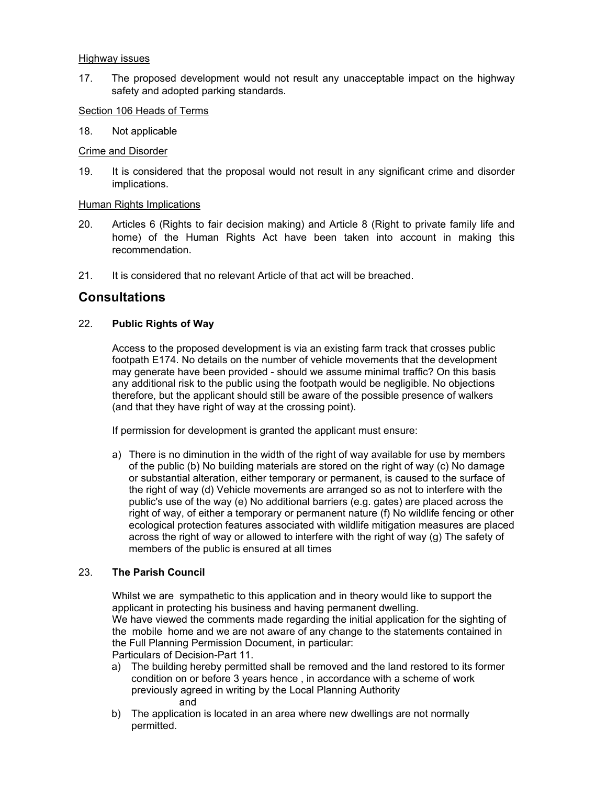### Highway issues

17. The proposed development would not result any unacceptable impact on the highway safety and adopted parking standards.

### Section 106 Heads of Terms

18. Not applicable

### Crime and Disorder

19. It is considered that the proposal would not result in any significant crime and disorder implications.

### Human Rights Implications

- 20. Articles 6 (Rights to fair decision making) and Article 8 (Right to private family life and home) of the Human Rights Act have been taken into account in making this recommendation.
- 21. It is considered that no relevant Article of that act will be breached.

## **Consultations**

### 22. **Public Rights of Way**

Access to the proposed development is via an existing farm track that crosses public footpath E174. No details on the number of vehicle movements that the development may generate have been provided - should we assume minimal traffic? On this basis any additional risk to the public using the footpath would be negligible. No objections therefore, but the applicant should still be aware of the possible presence of walkers (and that they have right of way at the crossing point).

If permission for development is granted the applicant must ensure:

a) There is no diminution in the width of the right of way available for use by members of the public (b) No building materials are stored on the right of way (c) No damage or substantial alteration, either temporary or permanent, is caused to the surface of the right of way (d) Vehicle movements are arranged so as not to interfere with the public's use of the way (e) No additional barriers (e.g. gates) are placed across the right of way, of either a temporary or permanent nature (f) No wildlife fencing or other ecological protection features associated with wildlife mitigation measures are placed across the right of way or allowed to interfere with the right of way (g) The safety of members of the public is ensured at all times

## 23. **The Parish Council**

Whilst we are sympathetic to this application and in theory would like to support the applicant in protecting his business and having permanent dwelling. We have viewed the comments made regarding the initial application for the sighting of the mobile home and we are not aware of any change to the statements contained in the Full Planning Permission Document, in particular: Particulars of Decision-Part 11.

- a) The building hereby permitted shall be removed and the land restored to its former condition on or before 3 years hence , in accordance with a scheme of work previously agreed in writing by the Local Planning Authority and
- b) The application is located in an area where new dwellings are not normally permitted.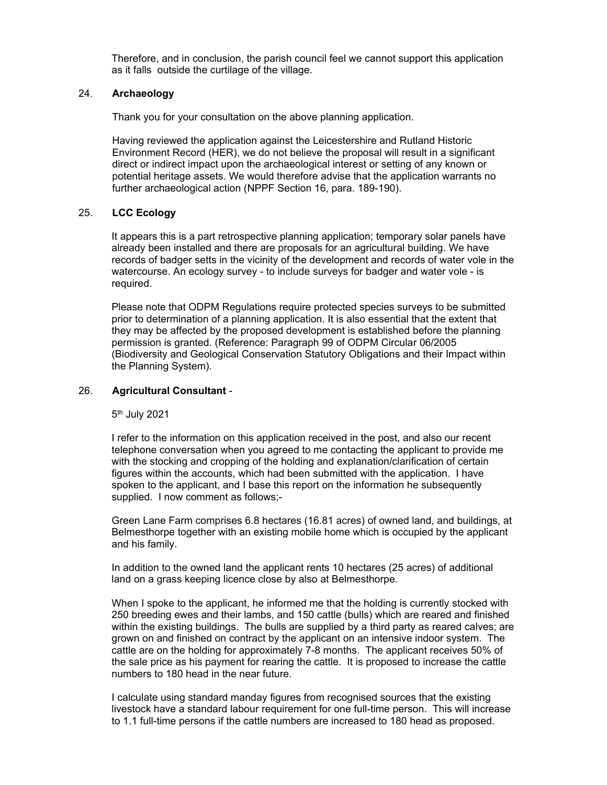Therefore, and in conclusion, the parish council feel we cannot support this application as it falls outside the curtilage of the village.

### 24. **Archaeology**

Thank you for your consultation on the above planning application.

Having reviewed the application against the Leicestershire and Rutland Historic Environment Record (HER), we do not believe the proposal will result in a significant direct or indirect impact upon the archaeological interest or setting of any known or potential heritage assets. We would therefore advise that the application warrants no further archaeological action (NPPF Section 16, para. 189-190).

### 25. **LCC Ecology**

It appears this is a part retrospective planning application; temporary solar panels have already been installed and there are proposals for an agricultural building. We have records of badger setts in the vicinity of the development and records of water vole in the watercourse. An ecology survey - to include surveys for badger and water vole - is required.

Please note that ODPM Regulations require protected species surveys to be submitted prior to determination of a planning application. It is also essential that the extent that they may be affected by the proposed development is established before the planning permission is granted. (Reference: Paragraph 99 of ODPM Circular 06/2005 (Biodiversity and Geological Conservation Statutory Obligations and their Impact within the Planning System).

### 26. **Agricultural Consultant** -

5th July 2021

I refer to the information on this application received in the post, and also our recent telephone conversation when you agreed to me contacting the applicant to provide me with the stocking and cropping of the holding and explanation/clarification of certain figures within the accounts, which had been submitted with the application. I have spoken to the applicant, and I base this report on the information he subsequently supplied. I now comment as follows;-

 Green Lane Farm comprises 6.8 hectares (16.81 acres) of owned land, and buildings, at Belmesthorpe together with an existing mobile home which is occupied by the applicant and his family.

 In addition to the owned land the applicant rents 10 hectares (25 acres) of additional land on a grass keeping licence close by also at Belmesthorpe.

 When I spoke to the applicant, he informed me that the holding is currently stocked with 250 breeding ewes and their lambs, and 150 cattle (bulls) which are reared and finished within the existing buildings. The bulls are supplied by a third party as reared calves; are grown on and finished on contract by the applicant on an intensive indoor system. The cattle are on the holding for approximately 7-8 months. The applicant receives 50% of the sale price as his payment for rearing the cattle. It is proposed to increase the cattle numbers to 180 head in the near future.

 I calculate using standard manday figures from recognised sources that the existing livestock have a standard labour requirement for one full-time person. This will increase to 1.1 full-time persons if the cattle numbers are increased to 180 head as proposed.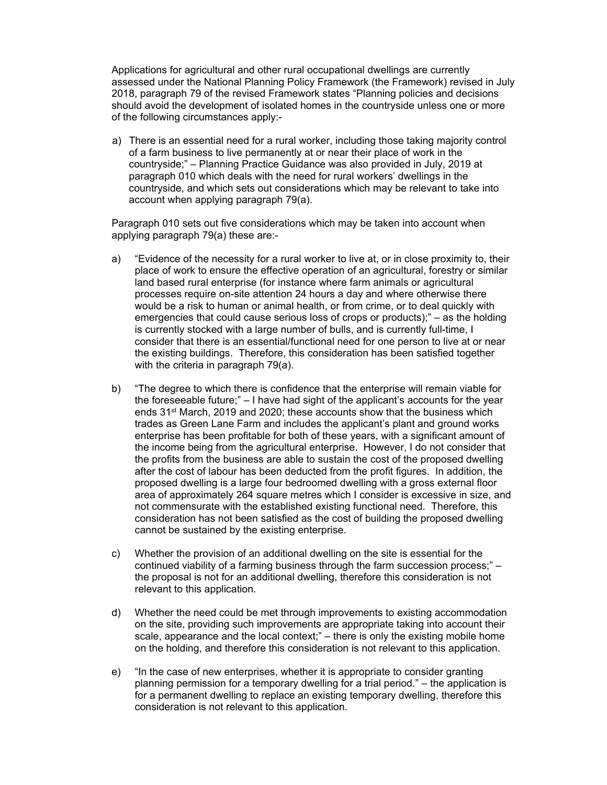Applications for agricultural and other rural occupational dwellings are currently assessed under the National Planning Policy Framework (the Framework) revised in July 2018, paragraph 79 of the revised Framework states "Planning policies and decisions should avoid the development of isolated homes in the countryside unless one or more of the following circumstances apply:-

a) There is an essential need for a rural worker, including those taking majority control of a farm business to live permanently at or near their place of work in the countryside;" – Planning Practice Guidance was also provided in July, 2019 at paragraph 010 which deals with the need for rural workers' dwellings in the countryside, and which sets out considerations which may be relevant to take into account when applying paragraph 79(a).

 Paragraph 010 sets out five considerations which may be taken into account when applying paragraph 79(a) these are:-

- a) "Evidence of the necessity for a rural worker to live at, or in close proximity to, their place of work to ensure the effective operation of an agricultural, forestry or similar land based rural enterprise (for instance where farm animals or agricultural processes require on-site attention 24 hours a day and where otherwise there would be a risk to human or animal health, or from crime, or to deal quickly with emergencies that could cause serious loss of crops or products);" – as the holding is currently stocked with a large number of bulls, and is currently full-time, I consider that there is an essential/functional need for one person to live at or near the existing buildings. Therefore, this consideration has been satisfied together with the criteria in paragraph 79(a).
- b) "The degree to which there is confidence that the enterprise will remain viable for the foreseeable future;" – I have had sight of the applicant's accounts for the year ends 31st March, 2019 and 2020; these accounts show that the business which trades as Green Lane Farm and includes the applicant's plant and ground works enterprise has been profitable for both of these years, with a significant amount of the income being from the agricultural enterprise. However, I do not consider that the profits from the business are able to sustain the cost of the proposed dwelling after the cost of labour has been deducted from the profit figures. In addition, the proposed dwelling is a large four bedroomed dwelling with a gross external floor area of approximately 264 square metres which I consider is excessive in size, and not commensurate with the established existing functional need. Therefore, this consideration has not been satisfied as the cost of building the proposed dwelling cannot be sustained by the existing enterprise.
- c) Whether the provision of an additional dwelling on the site is essential for the continued viability of a farming business through the farm succession process;" – the proposal is not for an additional dwelling, therefore this consideration is not relevant to this application.
- d) Whether the need could be met through improvements to existing accommodation on the site, providing such improvements are appropriate taking into account their scale, appearance and the local context;" – there is only the existing mobile home on the holding, and therefore this consideration is not relevant to this application.
- e) "In the case of new enterprises, whether it is appropriate to consider granting planning permission for a temporary dwelling for a trial period." – the application is for a permanent dwelling to replace an existing temporary dwelling, therefore this consideration is not relevant to this application.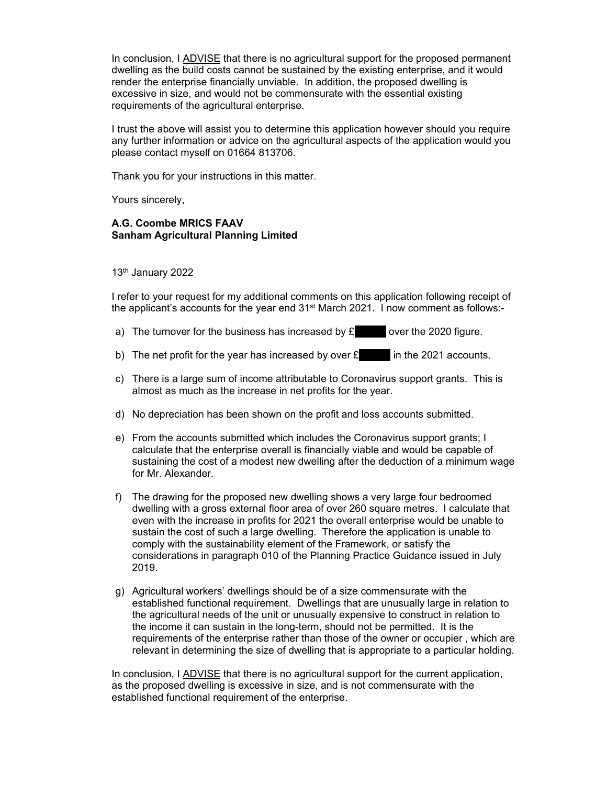In conclusion, I ADVISE that there is no agricultural support for the proposed permanent dwelling as the build costs cannot be sustained by the existing enterprise, and it would render the enterprise financially unviable. In addition, the proposed dwelling is excessive in size, and would not be commensurate with the essential existing requirements of the agricultural enterprise.

I trust the above will assist you to determine this application however should you require any further information or advice on the agricultural aspects of the application would you please contact myself on 01664 813706.

Thank you for your instructions in this matter.

Yours sincerely,

## **A.G. Coombe MRICS FAAV Sanham Agricultural Planning Limited**

## 13th January 2022

I refer to your request for my additional comments on this application following receipt of the applicant's accounts for the year end  $31<sup>st</sup>$  March 2021. I now comment as follows:-

- a) The turnover for the business has increased by  $\epsilon$  over the 2020 figure.
- b) The net profit for the year has increased by over  $\mathbf{E}$  in the 2021 accounts.
- c) There is a large sum of income attributable to Coronavirus support grants. This is almost as much as the increase in net profits for the year.
- d) No depreciation has been shown on the profit and loss accounts submitted.
- e) From the accounts submitted which includes the Coronavirus support grants; I calculate that the enterprise overall is financially viable and would be capable of sustaining the cost of a modest new dwelling after the deduction of a minimum wage for Mr. Alexander.
- f) The drawing for the proposed new dwelling shows a very large four bedroomed dwelling with a gross external floor area of over 260 square metres. I calculate that even with the increase in profits for 2021 the overall enterprise would be unable to sustain the cost of such a large dwelling. Therefore the application is unable to comply with the sustainability element of the Framework, or satisfy the considerations in paragraph 010 of the Planning Practice Guidance issued in July 2019.
- g) Agricultural workers' dwellings should be of a size commensurate with the established functional requirement. Dwellings that are unusually large in relation to the agricultural needs of the unit or unusually expensive to construct in relation to the income it can sustain in the long-term, should not be permitted. It is the requirements of the enterprise rather than those of the owner or occupier , which are relevant in determining the size of dwelling that is appropriate to a particular holding.

In conclusion, I ADVISE that there is no agricultural support for the current application, as the proposed dwelling is excessive in size, and is not commensurate with the established functional requirement of the enterprise.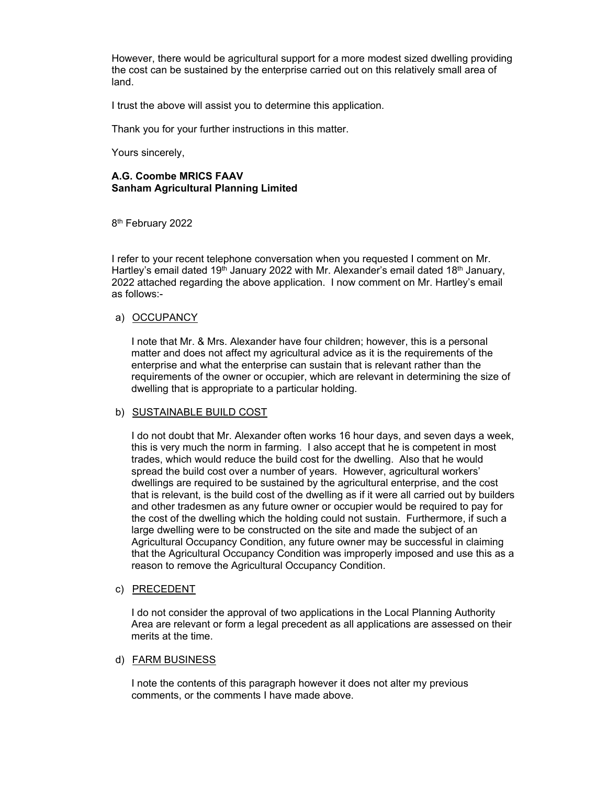However, there would be agricultural support for a more modest sized dwelling providing the cost can be sustained by the enterprise carried out on this relatively small area of land.

I trust the above will assist you to determine this application.

Thank you for your further instructions in this matter.

Yours sincerely,

### **A.G. Coombe MRICS FAAV Sanham Agricultural Planning Limited**

8<sup>th</sup> February 2022

I refer to your recent telephone conversation when you requested I comment on Mr. Hartley's email dated 19<sup>th</sup> January 2022 with Mr. Alexander's email dated 18<sup>th</sup> January, 2022 attached regarding the above application. I now comment on Mr. Hartley's email as follows:-

### a) OCCUPANCY

 I note that Mr. & Mrs. Alexander have four children; however, this is a personal matter and does not affect my agricultural advice as it is the requirements of the enterprise and what the enterprise can sustain that is relevant rather than the requirements of the owner or occupier, which are relevant in determining the size of dwelling that is appropriate to a particular holding.

### b) SUSTAINABLE BUILD COST

 I do not doubt that Mr. Alexander often works 16 hour days, and seven days a week, this is very much the norm in farming. I also accept that he is competent in most trades, which would reduce the build cost for the dwelling. Also that he would spread the build cost over a number of years. However, agricultural workers' dwellings are required to be sustained by the agricultural enterprise, and the cost that is relevant, is the build cost of the dwelling as if it were all carried out by builders and other tradesmen as any future owner or occupier would be required to pay for the cost of the dwelling which the holding could not sustain. Furthermore, if such a large dwelling were to be constructed on the site and made the subject of an Agricultural Occupancy Condition, any future owner may be successful in claiming that the Agricultural Occupancy Condition was improperly imposed and use this as a reason to remove the Agricultural Occupancy Condition.

## c) PRECEDENT

 I do not consider the approval of two applications in the Local Planning Authority Area are relevant or form a legal precedent as all applications are assessed on their merits at the time.

### d) FARM BUSINESS

 I note the contents of this paragraph however it does not alter my previous comments, or the comments I have made above.